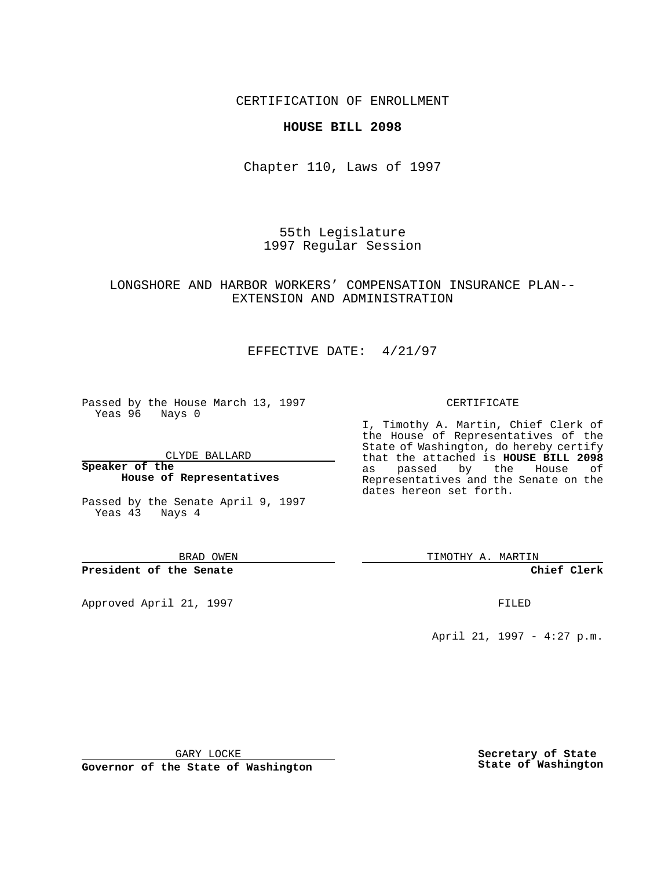### CERTIFICATION OF ENROLLMENT

#### **HOUSE BILL 2098**

Chapter 110, Laws of 1997

55th Legislature 1997 Regular Session

## LONGSHORE AND HARBOR WORKERS' COMPENSATION INSURANCE PLAN-- EXTENSION AND ADMINISTRATION

# EFFECTIVE DATE: 4/21/97

Passed by the House March 13, 1997 Yeas 96 Nays 0

CLYDE BALLARD

**Speaker of the House of Representatives**

Passed by the Senate April 9, 1997 Yeas 43 Nays 4

BRAD OWEN

**President of the Senate**

Approved April 21, 1997 **FILED** 

#### CERTIFICATE

I, Timothy A. Martin, Chief Clerk of the House of Representatives of the State of Washington, do hereby certify that the attached is **HOUSE BILL 2098** as passed by the House of Representatives and the Senate on the dates hereon set forth.

TIMOTHY A. MARTIN

**Chief Clerk**

April 21, 1997 - 4:27 p.m.

GARY LOCKE

**Governor of the State of Washington**

**Secretary of State State of Washington**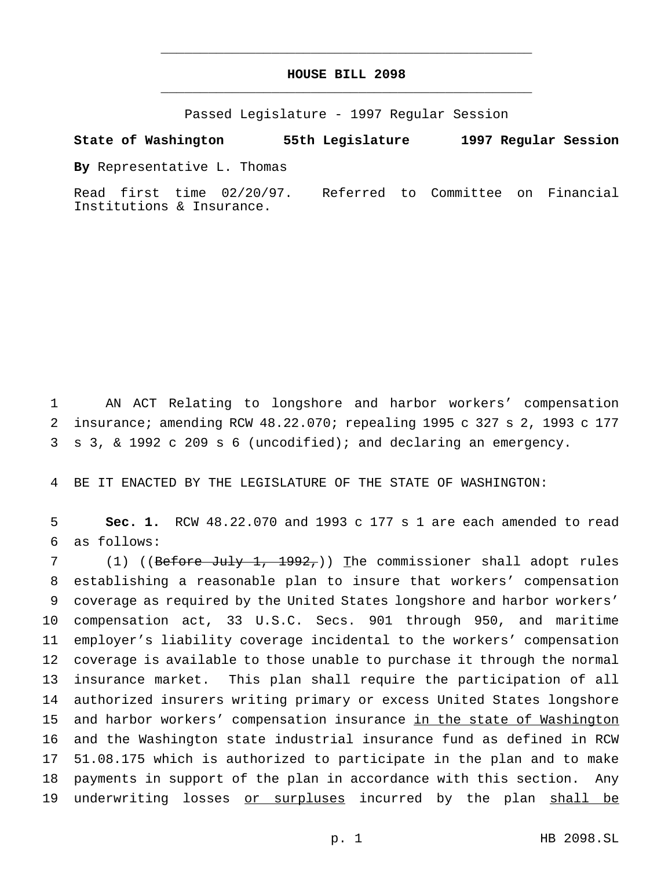# **HOUSE BILL 2098** \_\_\_\_\_\_\_\_\_\_\_\_\_\_\_\_\_\_\_\_\_\_\_\_\_\_\_\_\_\_\_\_\_\_\_\_\_\_\_\_\_\_\_\_\_\_\_

\_\_\_\_\_\_\_\_\_\_\_\_\_\_\_\_\_\_\_\_\_\_\_\_\_\_\_\_\_\_\_\_\_\_\_\_\_\_\_\_\_\_\_\_\_\_\_

Passed Legislature - 1997 Regular Session

**State of Washington 55th Legislature 1997 Regular Session**

**By** Representative L. Thomas

Read first time 02/20/97. Referred to Committee on Financial Institutions & Insurance.

1 AN ACT Relating to longshore and harbor workers' compensation 2 insurance; amending RCW 48.22.070; repealing 1995 c 327 s 2, 1993 c 177 3 s 3, & 1992 c 209 s 6 (uncodified); and declaring an emergency.

4 BE IT ENACTED BY THE LEGISLATURE OF THE STATE OF WASHINGTON:

5 **Sec. 1.** RCW 48.22.070 and 1993 c 177 s 1 are each amended to read 6 as follows:

7 (1) ((Before July 1, 1992,)) The commissioner shall adopt rules establishing a reasonable plan to insure that workers' compensation coverage as required by the United States longshore and harbor workers' compensation act, 33 U.S.C. Secs. 901 through 950, and maritime employer's liability coverage incidental to the workers' compensation coverage is available to those unable to purchase it through the normal insurance market. This plan shall require the participation of all authorized insurers writing primary or excess United States longshore 15 and harbor workers' compensation insurance in the state of Washington and the Washington state industrial insurance fund as defined in RCW 51.08.175 which is authorized to participate in the plan and to make payments in support of the plan in accordance with this section. Any 19 underwriting losses or surpluses incurred by the plan shall be